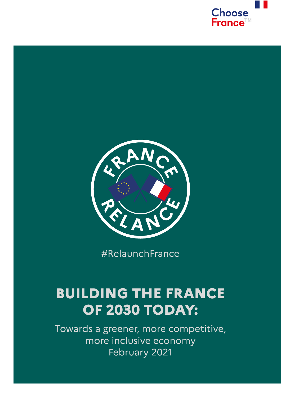



#RelaunchFrance

## **BUILDING THE FRANCE OF 2030 TODAY:**

Towards a greener, more competitive, more inclusive economy February 2021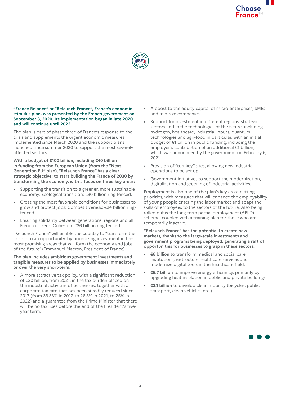

## **"France Relance" or "Relaunch France", France's economic stimulus plan, was presented by the French government on September 3, 2020. Its implementation began in late 2020 and will continue until 2022.**

The plan is part of phase three of France's response to the crisis and supplements the urgent economic measures implemented since March 2020 and the support plans launched since summer 2020 to support the most severely affected sectors.

**With a budget of €100 billion, including €40 billion in funding from the European Union (from the "Next Generation EU" plan), "Relaunch France" has a clear strategic objective: to start building the France of 2030 by transforming the economy, with a focus on three key areas:**

- Supporting the transition to a greener, more sustainable economy: Ecological transition: €30 billion ring-fenced.
- Creating the most favorable conditions for businesses to grow and protect jobs: Competitiveness: €34 billion ringfenced.
- Ensuring solidarity between generations, regions and all French citizens: Cohesion: €36 billion ring-fenced.

"Relaunch France" will enable the country to "transform the crisis into an opportunity, by prioritizing investment in the most promising areas that will form the economy and jobs of the future" (Emmanuel Macron, President of France).

## **The plan includes ambitious government investments and tangible measures to be applied by businesses immediately or over the very short-term:**

• A more attractive tax policy, with a significant reduction of €20 billion, from 2021, in the tax burden placed on the industrial activities of businesses, together with a corporate tax rate that has been steadily reduced since 2017 (from 33.33% in 2017, to 26.5% in 2021, to 25% in 2022) and a guarantee from the Prime Minister that there will be no tax rises before the end of the President's fiveyear term.

- A boost to the equity capital of micro-enterprises, SMEs and mid-size companies.
- Support for investment in different regions, strategic sectors and in the technologies of the future, including hydrogen, healthcare, industrial inputs, quantum technologies and agri-food in particular, with an initial budget of €1 billion in public funding, including the employer's contribution of an additional €1 billion, which was announced by the government on February 6. 2021.
- Provision of "turnkey" sites, allowing new industrial operations to be set up.
- Government initiatives to support the modernization, digitalization and greening of industrial activities.

Employment is also one of the plan's key cross-cutting priorities, with measures that will enhance the employability of young people entering the labor market and adapt the skills of employees to the sectors of the future. Also being rolled out is the long-term partial employment (APLD) scheme, coupled with a training plan for those who are temporarily inactive.

## **"Relaunch France" has the potential to create new markets, thanks to the large-scale investments and government programs being deployed, generating a raft of opportunities for businesses to grasp in these sectors:**

- **€6 billion** to transform medical and social care institutions, restructure healthcare services and modernize digital tools in the healthcare field.
- **€6.7 billion** to improve energy efficiency, primarily by upgrading heat insulation in public and private buildings.
- **€3.1 billion** to develop clean mobility (bicycles, public transport, clean vehicles, etc.).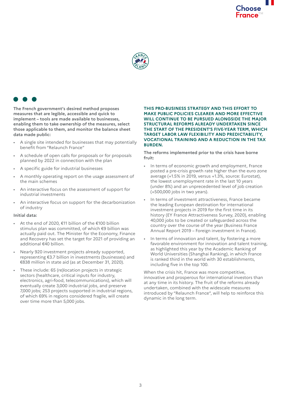



**The French government's desired method proposes measures that are legible, accessible and quick to implement – tools are made available to businesses, enabling them to take ownership of the measures, select those applicable to them, and monitor the balance sheet data made public:**

- A single site intended for businesses that may potentially benefit from "Relaunch France"
- A schedule of open calls for proposals or for proposals planned by 2022 in connection with the plan
- A specific guide for industrial businesses
- A monthly operating report on the usage assessment of the main schemes
- An interactive focus on the assessment of support for industrial investments
- An interactive focus on support for the decarbonization of industry

## **Initial data:**

- At the end of 2020, €11 billion of the €100 billion stimulus plan was committed, of which €9 billion was actually paid out. The Minister for the Economy, Finance and Recovery has set the target for 2021 of providing an additional €40 billion.
- Nearly 920 investment projects already supported, representing €3.7 billion in investments (businesses) and €838 million in state aid (as at December 31, 2020).
- These include: 65 (re)location projects in strategic sectors (healthcare, critical inputs for industry, electronics, agri-food, telecommunications), which will eventually create 3,000 industrial jobs, and preserve 7,000 jobs; 253 projects supported in industrial regions, of which 69% in regions considered fragile, will create over time more than 5,000 jobs.

#### **THIS PRO-BUSINESS STRATEGY AND THIS EFFORT TO MAKE PUBLIC POLICIES CLEARER AND MORE EFFECTIVE WILL CONTINUE TO BE PURSUED ALONGSIDE THE MAJOR STRUCTURAL REFORMS ALREADY UNDERTAKEN SINCE THE START OF THE PRESIDENT'S FIVE-YEAR TERM, WHICH TARGET LABOR LAW FLEXIBILITY AND PREDICTABILITY, VOCATIONAL TRAINING AND A REDUCTION IN THE TAX BURDEN.**

**The reforms implemented prior to the crisis have borne fruit:**

- In terms of economic growth and employment, France posted a pre-crisis growth rate higher than the euro zone average (+1.5% in 2019, versus +1.3%, source: Eurostat), the lowest unemployment rate in the last 10 years (under 8%) and an unprecedented level of job creation (+500,000 jobs in two years).
- In terms of investment attractiveness, France became the leading European destination for international investment projects in 2019 for the first time in its history (EY France Attractiveness Survey, 2020), enabling 40,000 jobs to be created or safeguarded across the country over the course of the year (Business France Annual Report 2019 – Foreign investment in France).
- In terms of innovation and talent, by fostering a more favorable environment for innovation and talent training, as highlighted this year by the Academic Ranking of World Universities (Shanghai Ranking), in which France is ranked third in the world with 30 establishments, including five in the top 100.

When the crisis hit, France was more competitive, innovative and prosperous for international investors than at any time in its history. The fruit of the reforms already undertaken, combined with the widescale measures introduced by "Relaunch France", will help to reinforce this dynamic in the long term.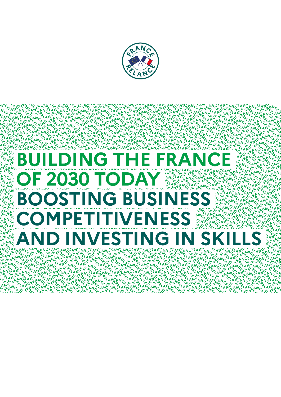

**ANGLAN** 

**PELANCHA** 

were Co we<br>LANG ANG AL

AN&ANCSANEANCS<br>Cu & Percente Percente<br>AANG <ANAANG <AN

ؘڿۄڛڿؼڗڿۄڛڿڛڿ؆ڿۄڛٚڎۼڮڗڝڗؿڔڿڮڗڿڮؾڿڛڝڮڹڿڝۄڿ<br>ۻڸڔڝ؇ۄ؆ۄڿۄڛڿۄ؆ڝ۫ؠڔڿؠۄڋۄڛڿؠۄڋۮڿڛڿؠڛڿۮۄۺڿۼڔڿۮۄۺڿؠڔڿۮۄۺڿؠڔڿۮۄۺڿڝڕڿۮۄۺڿڝڔڿۮۄۺڿڝڔڿۮۄۺڿڝڔڿۮۄۺڿڝڔڿۮۄۺڿڝڔڿ<br>ٛؠڿڛڿؠۻڿؠۻڿؠڗڿۄۺڿڝڔڿۮۄۺڿۺڿۮۄۺڿڡؠڔڿۮۄۺڿڛڿۮۄۺڿؠڔڿۮۄۺڿؠڔڿ<br>ٛڒۅڛڿڡۣڛڿؠڔڿؠڛڿڡۣؠڔڿۮڛڿڡڛ

**ANCYANA**<br>RELANGAN

**ANGANCY** 

**PELANC** 

**ANCARA**<br>REANGAL

 $AM<sub>C</sub>$ 

**ENGANCY ANGEL** 

# **BUILDING THE FRANCE DULLED IN STRANGE IN STRANGE IN STRANGE IN STRANGE IN STRANGE IN STRANGE IN STRANGE IN STR**<br>BUILDING THE FRANCE PRESS OF THE FRANCE IN STRANGE IN STRANGE IN STRANGE IN STRANGE IN STRANGE IN STRANGE IN **NeANC PELAND BOOSTING BUSINESS ANGREAN SEARCH OF 2030 TODAY COMPETITIVENESS AND INVESTING IN SKILLS** CH 4PP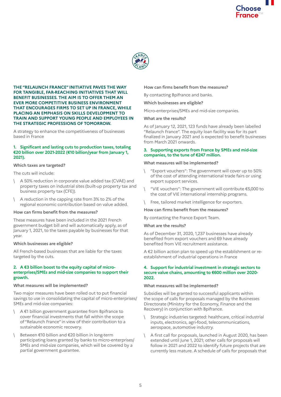



#### **THE "RELAUNCH FRANCE" INITIATIVE PAVES THE WAY FOR TANGIBLE, FAR-REACHING INITIATIVES THAT WILL BENEFIT BUSINESSES. THE AIM IS TO OFFER THEM AN EVER MORE COMPETITIVE BUSINESS ENVIRONMENT THAT ENCOURAGES FIRMS TO SET UP IN FRANCE, WHILE PLACING AN EMPHASIS ON SKILLS DEVELOPMENT TO TRAIN AND SUPPORT YOUNG PEOPLE AND EMPLOYEES IN THE STRATEGIC PROFESSIONS OF TOMORROW.**

A strategy to enhance the competitiveness of businesses based in France

## **1. Significant and lasting cuts to production taxes, totaling €20 billion over 2021-2022 (€10 billion/year from January 1, 2021).**

#### **Which taxes are targeted?**

The cuts will include:

- \ A 50% reduction in corporate value added tax (CVAE) and property taxes on industrial sites (built-up property tax and business property tax (CFE)).
- \ A reduction in the capping rate from 3% to 2% of the regional economic contribution based on value added.

#### **How can firms benefit from the measures?**

These measures have been included in the 2021 French government budget bill and will automatically apply, as of January 1, 2021, to the taxes payable by businesses for that year.

#### **Which businesses are eligible?**

All French-based businesses that are liable for the taxes targeted by the cuts.

#### **2. A €3 billion boost to the equity capital of microenterprises/SMEs and mid-size companies to support their growth.**

#### **What measures will be implemented?**

Two major measures have been rolled out to put financial savings to use in consolidating the capital of micro-enterprises/ SMEs and mid-size companies:

- A €1 billion government guarantee from Bpifrance to cover financial investments that fall within the scope of "Relaunch France" in view of their contribution to a sustainable economic recovery.
- Between €10 billion and €20 billion in long-term participating loans granted by banks to micro-enterprises/ SMEs and mid-size companies, which will be covered by a partial government guarantee.

#### **How can firms benefit from the measures?**

By contacting Bpifrance and banks.

#### **Which businesses are eligible?**

Micro-enterprises/SMEs and mid-size companies.

#### **What are the results?**

As of January 12, 2021, 123 funds have already been labelled "Relaunch France". The equity loan facility was for its part finalized in January 2021 and is expected to benefit businesses from March 2021 onwards.

#### **3. Supporting exports from France by SMEs and mid-size companies, to the tune of €247 million.**

#### **What measures will be implemented?**

- \ "Export vouchers": The government will cover up to 50% of the cost of attending international trade fairs or using export support services.
- \ "VIE vouchers": The government will contribute €5,000 to the cost of VIE international internship programs.
- Free, tailored market intelligence for exporters.

#### **How can firms benefit from the measures?**

By contacting the France Export Team.

#### **What are the results?**

As of December 31, 2020, 1,237 businesses have already benefited from export vouchers and 69 have already benefited from VIE recruitment assistance.

A €2 billion action plan to speed up the establishment or reestablishment of industrial operations in France

#### **4. Support for industrial investment in strategic sectors to secure value chains, amounting to €600 million over 2020- 2022.**

#### **What measures will be implemented?**

Subsidies will be granted to successful applicants within the scope of calls for proposals managed by the Businesses Directorate (Ministry for the Economy, Finance and the Recovery) in conjunction with Bpifrance.

- Strategic industries targeted: healthcare, critical industrial inputs, electronics, agri-food, telecommunications, aerospace, automotive industry.
- A first call for proposals, launched in August 2020, has been extended until June 1, 2021; other calls for proposals will follow in 2021 and 2022 to identify future projects that are currently less mature. A schedule of calls for proposals that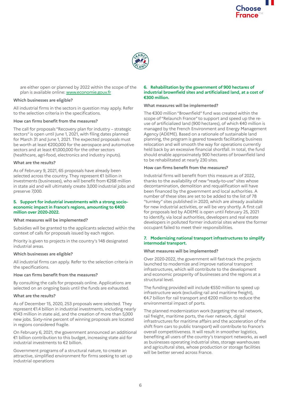

are either open or planned by 2022 within the scope of the plan is available online:<www.economie.gouv.fr>

## **Which businesses are eligible?**

All industrial firms in the sectors in question may apply. Refer to the selection criteria in the specifications.

#### **How can firms benefit from the measures?**

The call for proposals "Recovery plan for industry – strategic sectors" is open until June 1, 2021, with filing dates planned for March 31 and June 1, 2021. The expected proposals must be worth at least €200,000 for the aerospace and automotive sectors and at least €1,000,000 for the other sectors (healthcare, agri-food, electronics and industry inputs).

#### **What are the results?**

As of February 9, 2021, 65 proposals have already been selected across the country. They represent €1 billion in investments (businesses), who will benefit from €268 million in state aid and will ultimately create 3,000 industrial jobs and preserve 7,000.

#### **5. Support for industrial investments with a strong socioeconomic impact in France's regions, amounting to €400 million over 2020-2022.**

#### **What measures will be implemented?**

Subsidies will be granted to the applicants selected within the context of calls for proposals issued by each region.

Priority is given to projects in the country's 148 designated industrial areas.

#### **Which businesses are eligible?**

All industrial firms can apply. Refer to the selection criteria in the specifications.

#### **How can firms benefit from the measures?**

By consulting the calls for proposals online. Applications are selected on an ongoing basis until the funds are exhausted.

#### **What are the results?**

As of December 15, 2020, 253 proposals were selected. They represent €1.4 billion in industrial investments, including nearly €143 million in state aid, and the creation of more than 5,000 new jobs. Sixty-nine percent of winning proposals are located in regions considered fragile.

On February 6, 2021, the government announced an additional €1 billion contribution to this budget, increasing state aid for industrial investments to €2 billion.

Government programs of a structural nature, to create an attractive, simplified environment for firms seeking to set up industrial operations

### **6. Rehabilitation by the government of 900 hectares of industrial brownfield sites and artificialized land, at a cost of €300 million.**

## **What measures will be implemented?**

The €300 million "Brownfield" fund was created within the scope of "Relaunch France" to support and speed up the reuse of artificialized land (900 hectares), of which €40 million is managed by the French Environment and Energy Management Agency (ADEME). Based on a rationale of sustainable land planning, the program is geared towards facilitating business relocation and will smooth the way for operations currently held back by an excessive financial shortfall. In total, the fund should enable approximately 900 hectares of brownfield land to be rehabilitated at nearly 230 sites.

## **How can firms benefit from the measures?**

Industrial firms will benefit from this measure as of 2022, thanks to the availability of new "ready-to-use" sites whose decontamination, demolition and requalification will have been financed by the government and local authorities. A number of these sites are set to be added to the list of 78 "turnkey" sites published in 2020, which are already available for new industrial activities, or will be very shortly. A first call for proposals led by ADEME is open until February 25, 2021 to identify, via local authorities, developers and real estate developers in polluted former industrial sites where the former occupant failed to meet their responsibilities.

#### **7. Modernizing national transport infrastructures to simplify intermodal transport.**

#### **What measures will be implemented?**

Over 2020-2022, the government will fast-track the projects launched to modernize and improve national transport infrastructures, which will contribute to the development and economic prosperity of businesses and the regions at a structural level.

The funding provided will include €550 million to speed up infrastructure work (excluding rail and maritime freight), €4.7 billion for rail transport and €200 million to reduce the environmental impact of ports.

The planned modernization work (targeting the rail network, rail freight, maritime ports, the river network, digital infrastructures for maritime affairs and the acceleration of the shift from cars to public transport) will contribute to France's overall competitiveness. It will result in smoother logistics, benefiting all users of the country's transport networks, as well as businesses operating industrial sites, storage warehouses and agricultural sites, whose production or storage facilities will be better served across France.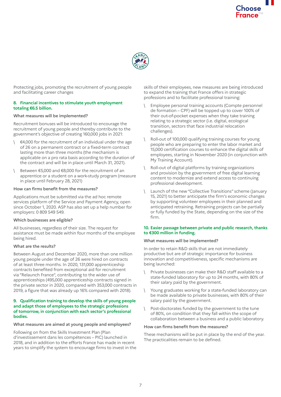

Protecting jobs, promoting the recruitment of young people and facilitating career changes

## **8. Financial incentives to stimulate youth employment totaling €6.5 billion.**

## **What measures will be implemented?**

Recruitment bonuses will be introduced to encourage the recruitment of young people and thereby contribute to the government's objective of creating 160,000 jobs in 2021:

- \ €4,000 for the recruitment of an individual under the age of 26 on a permanent contract or a fixed-term contract lasting more than three months (the mechanism is applicable on a pro rata basis according to the duration of the contract and will be in place until March 31, 2021).
- Between €5,000 and €8,000 for the recruitment of an apprentice or a student on a work-study program (measure in place until February 28, 2021)

## **How can firms benefit from the measures?**

Applications must be submitted via the ad hoc remote services platform of the Service and Payment Agency, open since October 1, 2020. ASP has also set up a help number for employers: 0 809 549 549.

#### **Which businesses are eligible?**

All businesses, regardless of their size. The request for assistance must be made within four months of the employee being hired.

#### **What are the results?**

Between August and December 2020, more than one million young people under the age of 26 were hired on contracts of at least three months. In 2020, 131,000 apprenticeship contracts benefited from exceptional aid for recruitment via "Relaunch France", contributing to the wider use of apprenticeships (495,000 apprenticeship contracts signed in the private sector in 2020, compared with 353,000 contracts in 2019, a figure that was already up 16% compared with 2018).

#### **9. Qualification training to develop the skills of young people and adapt those of employees to the strategic professions of tomorrow, in conjunction with each sector's professional bodies.**

#### **What measures are aimed at young people and employees?**

Following on from the Skills Investment Plan (Plan d'investissement dans les compétences – PIC) launched in 2018, and in addition to the efforts France has made in recent years to simplify the system to encourage firms to invest in the skills of their employees, new measures are being introduced to expand the training that France offers in strategic professions and to facilitate professional training:

- \ Employee personal training accounts (Compte personnel de formation – CPF) will be topped up to cover 100% of their out-of-pocket expenses when they take training relating to a strategic sector (i.e. digital, ecological transition, sectors that face industrial relocation challenges).
- \ Roll-out of 100,000 qualifying training courses for young people who are preparing to enter the labor market and 15,000 certification courses to enhance the digital skills of employees, starting in November 2020 (in conjunction with My Training Account).
- \ Roll-out of digital platforms by training organizations and provision by the government of free digital learning content to modernize and extend access to continuing professional development.
- Launch of the new "Collective Transitions" scheme (January 15, 2021) to better anticipate the firm's economic changes by supporting volunteer employees in their planned and anticipated retraining. Retraining projects can be partially or fully funded by the State, depending on the size of the firm.

#### **10. Easier passage between private and public research, thanks to €300 million in funding.**

#### **What measures will be implemented?**

In order to retain R&D skills that are not immediately productive but are of strategic importance for business innovation and competitiveness, specific mechanisms are being launched:

- \ Private businesses can make their R&D staff available to a state-funded laboratory for up to 24 months, with 80% of their salary paid by the government.
- Young graduates working for a state-funded laboratory can be made available to private businesses, with 80% of their salary paid by the government.
- Post-doctorates funded by the government to the tune of 80%, on condition that they fall within the scope of collaboration between a business and a public laboratory.

#### **How can firms benefit from the measures?**

These mechanisms will be put in place by the end of the year. The practicalities remain to be defined.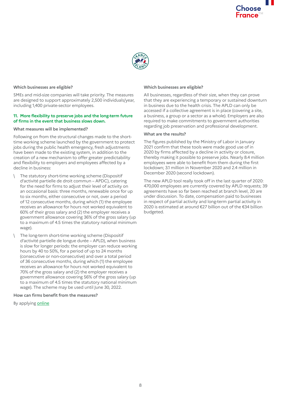

## **Which businesses are eligible?**

SMEs and mid-size companies will take priority. The measures are designed to support approximately 2,500 individuals/year, including 1,400 private-sector employees.

#### **11. More flexibility to preserve jobs and the long-term future of firms in the event that business slows down.**

#### **What measures will be implemented?**

Following on from the structural changes made to the shorttime working scheme launched by the government to protect jobs during the public health emergency, fresh adjustments have been made to the existing system, in addition to the creation of a new mechanism to offer greater predictability and flexibility to employers and employees affected by a decline in business:

- The statutory short-time working scheme (Dispositif d'activité partielle de droit commun – APDC), catering for the need for firms to adjust their level of activity on an occasional basis: three months, renewable once for up to six months, either consecutive or not, over a period of 12 consecutive months, during which (1) the employee receives an allowance for hours not worked equivalent to 60% of their gross salary and (2) the employer receives a government allowance covering 36% of the gross salary (up to a maximum of 4.5 times the statutory national minimum wage).
- The long-term short-time working scheme (Dispositif d'activité partielle de longue durée – APLD), when business is slow for longer periods: the employer can reduce working hours by 40 to 50%, for a period of up to 24 months (consecutive or non-consecutive) and over a total period of 36 consecutive months, during which (1) the employee receives an allowance for hours not worked equivalent to 70% of the gross salary and (2) the employer receives a government allowance covering 56% of the gross salary (up to a maximum of 4.5 times the statutory national minimum wage). The scheme may be used until June 30, 2022.

#### **How can firms benefit from the measures?**

By applying [online](https://activitepartielle.emploi.gouv.fr/apart/
)

#### **Which businesses are eligible?**

All businesses, regardless of their size, when they can prove that they are experiencing a temporary or sustained downturn in business due to the health crisis. The APLD can only be accessed if a collective agreement is in place (covering a site, a business, a group or a sector as a whole). Employers are also required to make commitments to government authorities regarding job preservation and professional development.

## **What are the results?**

The figures published by the Ministry of Labor in January 2021 confirm that these tools were made good use of in 2020 by firms affected by a decline in activity or closure, thereby making it possible to preserve jobs. Nearly 8.4 million employees were able to benefit from them during the first lockdown; 3.1 million in November 2020 and 2.4 million in December 2020 (second lockdown).

The new APLD tool really took off in the last quarter of 2020: 470,000 employees are currently covered by APLD requests; 39 agreements have so far been reached at branch level, 20 are under discussion. To date, compensation paid to businesses in respect of partial activity and long-term partial activity in 2020 is estimated at around €27 billion out of the €34 billion budgeted.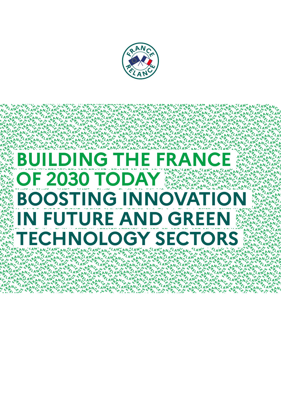

**ANGLAN** 

**PELANC** 

**PELANCHA** 

**ANCYANA**<br>RELANGAN

ANGANG CANGANG CANGAN

**ANGANC**ZANGANCZ<br>CYKRZANGANCZAN

*CLANGANCANCARICA* 

**ANC** 

AN.

 $A^N$ 

## **BUILDING THE FRANCE NeANC ANGRESOR OF 2030 TODAY BOOSTING INNOVATIO ARANCES IN FUTURE AND GREEN TECHNOLOGY SECTORS**  $C^{1/2}e^{\frac{1}{2}}$ **LAN RAN**

ؘڿۄڛڿؼڗڿڿڛڿؠ؆ڿ؊ؠڎۼؠڗڝٙػڒۼۑڕڿڮڗڿڮڗڿڮڗڿؿڒۼۄڛڝؘڎڔۄۣۺ<br>ۻؠڔڿۄۺڿؠۄڗڿؠۄۺڿؠڛڿؠۄڿؠۄڿؠۄڿؠۄڿؠۄۻۄۮؠۄڛڿؠۄڋۮۄۺڿ<br>؇ڿؠۄڿؠۄڿؠۄڿؠۄڗڿؠۄڗڿؠۄڗڿؠۄڿؠۄڿؠۄڿؠۄڿؠۄڿؠۄڿؠۄڿؠۄڮؠ<br>ٛڒۄڗڿڝڔڿؠۄڿؠۄڿؠۄڿؠۄڿؠۄڿؠۄڿؠۄڿؠۄڿؠؠڿؠؠڔڿؠؠڿؠؠڔڿؠۄڿؠ<br>ٛۮۄڗڿڝڔڿؠۄڿؠۄڿؠۄڿؠۄڿؠۄڿؠ

**PANGAI** 

**NEANCY ANEANCY** 

**PELAND**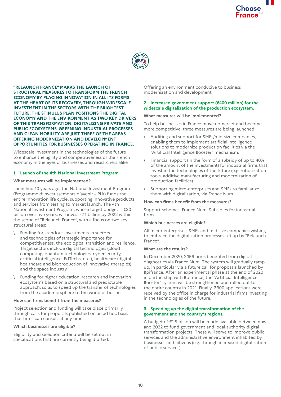

**"RELAUNCH FRANCE" MARKS THE LAUNCH OF STRUCTURAL MEASURES TO TRANSFORM THE FRENCH ECONOMY BY PLACING INNOVATION IN ALL ITS FORMS AT THE HEART OF ITS RECOVERY, THROUGH WIDESCALE INVESTMENT IN THE SECTORS WITH THE BRIGHTEST FUTURE. THE STIMULUS PLAN POSITIONS THE DIGITAL ECONOMY AND THE ENVIRONMENT AS TWO KEY DRIVERS OF THIS TRANSFORMATION. DIGITALIZING PRIVATE AND PUBLIC ECOSYSTEMS, GREENING INDUSTRIAL PROCESSES AND CLEAN MOBILITY ARE JUST THREE OF THE AREAS OFFERING MODERNIZATION AND DEVELOPMENT OPPORTUNITIES FOR BUSINESSES OPERATING IN FRANCE.**

Widescale investment in the technologies of the future to enhance the agility and competitiveness of the French economy in the eyes of businesses and researchers alike

## **1. Launch of the 4th National Investment Program.**

#### **What measures will be implemented?**

Launched 10 years ago, the National Investment Program (Programme d'investissements d'avenir – PIA) funds the entire innovation life cycle, supporting innovative products and services from testing to market launch. The 4th National Investment Program, whose target budget is €20 billion over five years, will invest €11 billion by 2022 within the scope of "Relaunch France", with a focus on two key structural areas:

- Funding for standout investments in sectors and technologies of strategic importance for competitiveness, the ecological transition and resilience. Target sectors include digital technologies (cloud computing, quantum technologies, cybersecurity, artificial intelligence, EdTechs, etc.), healthcare (digital healthcare and bioproduction of innovative therapies) and the space industry.
- \ Funding for higher education, research and innovation ecosystems based on a structural and predictable approach, so as to speed up the transfer of technologies from the academic sphere to the world of business.

#### **How can firms benefit from the measures?**

Project selection and funding will take place primarily through calls for proposals published on an ad hoc basis that firms can consult at any time.

## **Which businesses are eligible?**

Eligibility and selection criteria will be set out in specifications that are currently being drafted.

Offering an environment conducive to business modernization and development

## **2. Increased government support (€400 million) for the widescale digitalization of the production ecosystem.**

#### **What measures will be implemented?**

To help businesses in France move upmarket and become more competitive, three measures are being launched:

- Auditing and support for SMEs/mid-size companies, enabling them to implement artificial intelligence solutions to modernize production facilities via the "Artificial Intelligence Booster" mechanism.
- \ Financial support (in the form of a subsidy of up to 40% of the amount of the investment) for industrial firms that invest in the technologies of the future (e.g. robotization tools, additive manufacturing and modernization of production facilities).
- Supporting micro-enterprises and SMEs to familiarize them with digitalization, via France Num.

## **How can firms benefit from the measures?**

Support schemes: France Num; Subsidies for industrial firms.

## **Which businesses are eligible?**

All micro-enterprises, SMEs and mid-size companies wishing to embrace the digitalization processes set up by "Relaunch France".

#### **What are the results?**

In December 2020, 2,156 firms benefited from digital diagnostics via France Num. The system will gradually ramp up, in particular via a future call for proposals launched by Bpifrance. After an experimental phase at the end of 2020 in partnership with Bpifrance, the "Artificial Intelligence Booster" system will be strengthened and rolled out to the entire country in 2021. Finally, 7,300 applications were received by the office in charge for industrial firms investing in the technologies of the future.

#### **3. Speeding up the digital transformation of the government and the country's regions.**

A budget of €1.5 billion will be made available between now and 2022 to fund government and local authority digital transformation projects. These will serve to improve public services and the administrative environment inhabited by businesses and citizens (e.g. through increased digitalization of public services).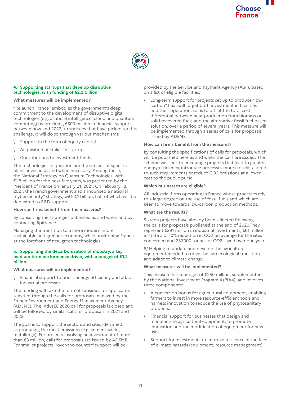

## **4. Supporting startups that develop disruptive technologies, with funding of €2.2 billion.**

## **What measures will be implemented?**

"Relaunch France" embodies the government's deep commitment to the development of disruptive digital technologies (e.g. artificial intelligence, cloud and quantum computing) by providing €500 million in financial support, between now and 2022, to startups that have picked up this challenge. It will do so through various mechanisms:

- Support in the form of equity capital.
- Acquisition of stakes in startups.
- Contributions to investment funds.

The technologies in question are the subject of specific plans unveiled as and when necessary. Among these, the National Strategy on Quantum Technologies, with €1.8 billion for the next five years, was presented by the President of France on January 21, 2021. On February 18, 2021, the French government also announced a national "cybersecurity" strategy, with €1 billion, half of which will be dedicated to R&D support.

#### **How can firms benefit from the measures?**

By consulting the strategies published as and when and by contacting Bpifrance.

Managing the transition to a more modern, more sustainable and greener economy, while positioning France at the forefront of new green technologies

#### **5. Supporting the decarbonization of industry, a key medium-term performance driver, with a budget of €1.2 billion.**

#### **What measures will be implemented?**

\ Financial support to boost energy efficiency and adapt industrial processes:

The funding will take the form of subsidies for applicants selected through the calls for proposals managed by the French Environment and Energy Management Agency (ADEME). The IndusEE 2020 call for proposals is closed and will be followed by similar calls for proposals in 2021 and 2022.

The goal is to support the sectors and sites identified as producing the most emissions (e.g. cement works, metallurgy). For projects involving an investment of more than €3 million, calls for proposals are issued by ADEME. For smaller projects, "over-the-counter" support will be

provided by the Service and Payment Agency (ASP), based on a list of eligible facilities.

Long-term support for projects set up to produce "lowcarbon" heat will target both investment in facilities and their operation, so as to offset the total cost differential between heat production from biomass or solid recovered fuels and the alternative fossil fuel-based solution, over a period of several years. This measure will be implemented through a series of calls for proposals issued by ADEME.

#### **How can firms benefit from the measures?**

By consulting the specifications of calls for proposals, which will be published here as and when the calls are issued. The scheme will seek to encourage projects that lead to greater energy efficiency, introduce processes more closely tailored to such requirements or reduce CO2 emissions at a lower cost to the public purse.

#### **Which businesses are eligible?**

All industrial firms operating in France whose processes rely to a large degree on the use of fossil fuels and which are keen to move towards low-carbon production methods.

#### **What are the results?**

Sixteen projects have already been selected following the calls for proposals published at the end of 2020.They represent €291 million in industrial investments; €61 million in state aid; 10% reduction in CO2 on average for the sites concerned and 237,000 tonnes of CO2 saved over one year.

6/ Helping to update and develop the agricultural equipment needed to drive the agri-ecological transition and adapt to climate change.

#### **What measures will be implemented?**

This measure has a budget of €250 million, supplemented by the National Investment Program 4 (PIA4), and involves three components:

- \ A conversion bonus for agricultural equipment, enabling farmers to invest in more resource-efficient tools and harness innovation to reduce the use of phytosanitary products.
- Financial support for businesses that design and manufacture agricultural equipment, to promote innovation and the modification of equipment for new uses.
- Support for investments to improve resilience in the face of climate hazards (equipment, resource management).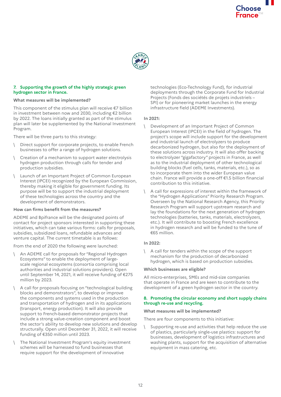

## **7. Supporting the growth of the highly strategic green hydrogen sector in France.**

## **What measures will be implemented?**

This component of the stimulus plan will receive €7 billion in investment between now and 2030, including €2 billion by 2022. The loans initially granted as part of the stimulus plan will later be supplemented by the National Investment Program.

There will be three parts to this strategy:

- Direct support for corporate projects, to enable French businesses to offer a range of hydrogen solutions.
- \ Creation of a mechanism to support water electrolysis hydrogen production through calls for tender and production subsidies.
- Launch of an Important Project of Common European Interest (IPCEI) recognized by the European Commission, thereby making it eligible for government funding. Its purpose will be to support the industrial deployment of these technologies across the country and the development of demonstrators.

## **How can firms benefit from the measures?**

ADEME and Bpifrance will be the designated points of contact for project sponsors interested in supporting these initiatives, which can take various forms: calls for proposals, subsidies, subsidized loans, refundable advances and venture capital. The current timetable is as follows:

From the end of 2020 the following were launched:

- \ An ADEME call for proposals for "Regional Hydrogen Ecosystems" to enable the deployment of largescale regional ecosystems (consortia comprising local authorities and industrial solutions providers). Open until September 14, 2021, it will receive funding of €275 million by 2023.
- \ A call for proposals focusing on "technological building blocks and demonstrators", to develop or improve the components and systems used in the production and transportation of hydrogen and in its applications (transport, energy production). It will also provide support to French-based demonstrator projects that include a strong value-creation component and boost the sector's ability to develop new solutions and develop structurally. Open until December 31, 2022, it will receive funding of €350 million until 2023.
- The National Investment Program's equity investment schemes will be harnessed to fund businesses that require support for the development of innovative

technologies (Eco-Technology Fund), for industrial deployments through the Corporate Fund for Industrial Projects (Fonds des sociétés de projets industriels – SPI) or for pioneering market launches in the energy infrastructure field (ADEME Investments).

## **In 2021:**

- \ Development of an Important Project of Common European Interest (IPCEI) in the field of hydrogen. The project's scope will include support for the development and industrial launch of electrolyzers to produce decarbonized hydrogen, but also for the deployment of these solutions across industry. It will also offer backing to electrolyzer "gigafactory" projects in France, as well as to the industrial deployment of other technological building blocks (fuel cells, tanks, materials, etc.), so as to incorporate them into the wider European value chain. France will provide a one-off €1.5 billion financial contribution to this initiative.
- \ A call for expressions of interest within the framework of the "Hydrogen Applications" Priority Research Program. Overseen by the National Research Agency, this Priority Research Program will support upstream research and lay the foundations for the next generation of hydrogen technologies (batteries, tanks, materials, electrolyzers, etc.). It will contribute to boosting French excellence in hydrogen research and will be funded to the tune of €65 million.

## **In 2022:**

\ A call for tenders within the scope of the support mechanism for the production of decarbonized hydrogen, which is based on production subsidies.

## **Which businesses are eligible?**

All micro-enterprises, SMEs and mid-size companies that operate in France and are keen to contribute to the development of a green hydrogen sector in the country.

#### **8. Promoting the circular economy and short supply chains through re-use and recycling.**

## **What measures will be implemented?**

There are four components to this initiative:

Supporting re-use and activities that help reduce the use of plastics, particularly single-use plastics: support for businesses, development of logistics infrastructures and washing plants, support for the acquisition of alternative equipment in mass catering, etc.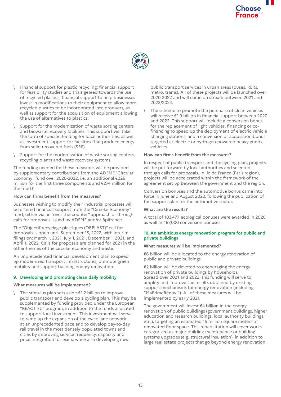

- \ Financial support for plastic recycling: financial support for feasibility studies and trials geared towards the use of recycled plastics, financial support to help businesses invest in modifications to their equipment to allow more recycled plastics to be incorporated into products, as well as support for the acquisition of equipment allowing the use of alternatives to plastics.
- Support for the modernization of waste sorting centers and biowaste recovery facilities. This support will take the form of specific funding for local authorities, as well as investment support for facilities that produce energy from solid recovered fuels (SRF).
- Support for the modernization of waste sorting centers, recycling plants and waste recovery systems.

The funding needed for these measures will be provided by supplementary contributions from the ADEME "Circular Economy" fund over 2020-2022, i.e. an additional €226 million for the first three components and €274 million for the fourth.

## **How can firms benefit from the measures?**

Businesses wishing to modify their industrial processes will be offered financial support from the "Circular Economy" fund, either via an "over-the-counter" approach or through calls for proposals issued by ADEME and/or Bpifrance.

The "Objectif recyclage plastiques (ORPLAST)" call for proposals is open until September 15, 2022, with interim filings on: March 1, 2021, July 1, 2021, December 1, 2021, and April 1, 2022. Calls for proposals are planned for 2021 in the other themes of the circular economy and waste.

An unprecedented financial development plan to speed up modernized transport infrastructures, promote green mobility and support building energy renovation.

## **9. Developing and promoting clean daily mobility**

## **What measures will be implemented?**

\ The stimulus plan sets aside €1.2 billion to improve public transport and develop a cycling plan. This may be supplemented by funding provided under the European "REACT EU" program, in addition to the funds allocated to support local investment. This investment will serve to ramp up the expansion of the cycle lane network at an unprecedented pace and to develop day-to-day rail travel in the most densely populated towns and cities by improving service frequency, capacity and price integration for users, while also developing new

public transport services in urban areas (buses, RERs, metro, trams). All of these projects will be launched over 2020-2022 and will come on stream between 2021 and 2023/2024.

The scheme to promote the purchase of clean vehicles will receive €1.9 billion in financial support between 2020 and 2022. This support will include a conversion bonus for the replacement of light vehicles, financing or cofinancing to speed up the deployment of electric vehicle charging stations, and a conversion or acquisition bonus targeted at electric or hydrogen-powered heavy goods vehicles.

## **How can firms benefit from the measures?**

In respect of public transport and the cycling plan, projects will be put forward by local authorities and selected through calls for proposals. In Ile de France (Paris region), projects will be accelerated within the framework of the agreement set up between the government and the region.

Conversion bonuses and the automotive bonus came into force in June and August 2020, following the publication of the support plan for the automotive sector.

## **What are the results?**

A total of 103,477 ecological bonuses were awarded in 2020, as well as 167,000 conversion bonuses.

## **10. An ambitious energy renovation program for public and private buildings**

## **What measures will be implemented?**

€6 billion will be allocated to the energy renovation of public and private buildings.

€2 billion will be devoted to encouraging the energy renovation of private buildings by households. Spread over 2021 and 2022, this funding will serve to amplify and improve the results obtained by existing support mechanisms for energy renovation (including "MaPrimeRénov'"). All of these measures will be implemented by early 2021.

The government will invest €4 billion in the energy renovation of public buildings (government buildings, higher education and research buildings, local authority buildings, etc.), targeting an estimated 15 million square meters of renovated floor space. This rehabilitation will cover works categorized as major building maintenance or building systems upgrades (e.g. structural insulation), in addition to large real estate projects that go beyond energy renovation.